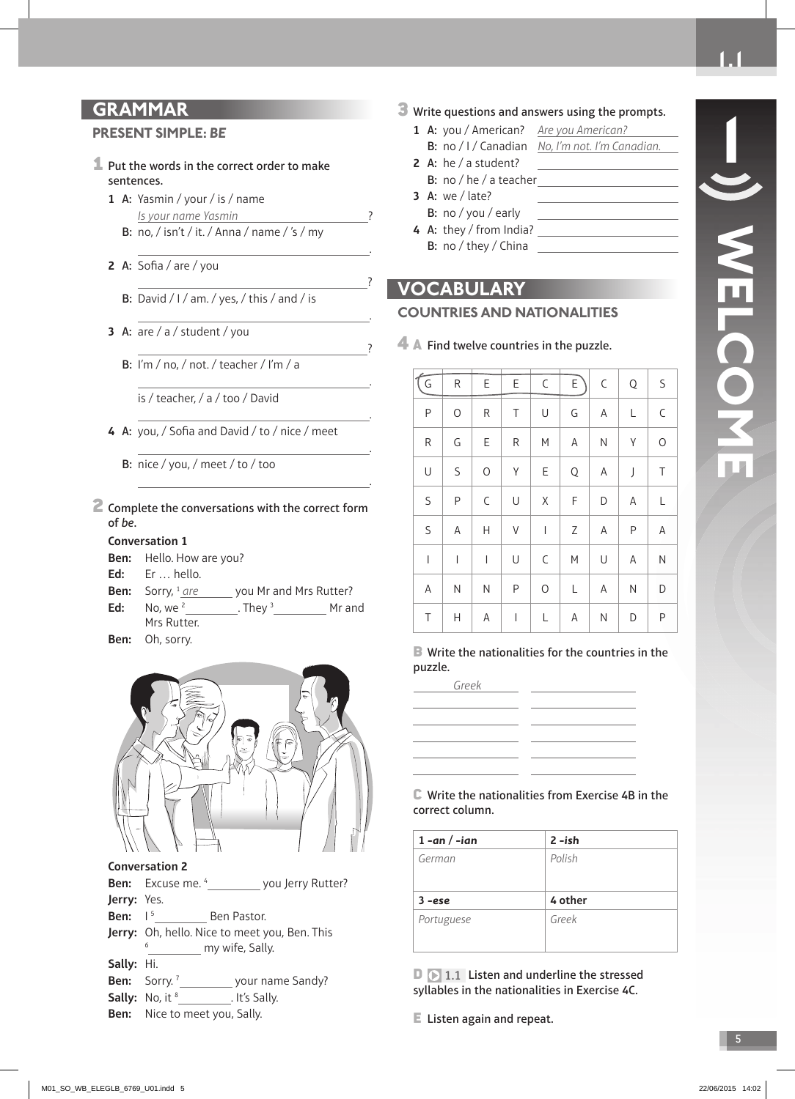**1**

# **GRAMMAR**

#### **PRESENT SIMPLE:** *BE*

- 1 Put the words in the correct order to make sentences.
	- **1** A: Yasmin / your / is / name Is your name Yasmin ? B: no, / isn't / it. / Anna / name / 's / my

<u>. Andreas Andreas Andreas Andreas Andreas Andreas Andreas Andreas Andreas Andreas Andreas Andreas Andreas And</u>

?

<u>. Andreas Andreas Andreas Andreas Andreas Andreas Andreas Andreas Andreas Andreas Andreas Andreas Andreas And</u>

<u>?</u>

.

.

.

.

- **2** A: Sofia / are / you
	- B: David / I / am. / yes, / this / and / is
- **3** A: are / a / student / you
	- B: I'm / no, / not. / teacher / I'm / a
		- is / teacher, / a / too / David
- 4 A: you, / Sofia and David / to / nice / meet
	- B: nice / you, / meet / to / too
- 2 Complete the conversations with the correct form of be.

#### **Conversation 1**

**Ben:** Hello. How are you?

- **Ed:** Er … hello.
- **Ben:** Sorry, <sup>1</sup> are you Mr and Mrs Rutter? **Ed:** No, we 2 . They 3 Mr and
- Mrs Rutter. **Ben:** Oh, sorry.



**Conversation 2**

|                    | <b>Ben:</b> Excuse me. 4 |                 | you Jerry Rutter?                                    |
|--------------------|--------------------------|-----------------|------------------------------------------------------|
| <b>Jerry:</b> Yes. |                          |                 |                                                      |
| <b>Ben:</b> $1^5$  |                          | Ben Pastor.     |                                                      |
|                    |                          |                 | <b>Jerry:</b> Oh, hello. Nice to meet you, Ben. This |
|                    | 6                        | my wife, Sally. |                                                      |
| <b>Sally:</b> Hi.  |                          |                 |                                                      |
|                    | Ran: $SorrV^7$           |                 | vour name Sandy?                                     |

- **Ben:** Sorry.<sup>7</sup> your name Sandy?
- **Sally:** No, it <sup>8</sup> . It's Sally.
- **Ben:** Nice to meet you, Sally.

#### **3** Write questions and answers using the prompts.

- 1 A: you / American? Are you American? B: no / I / Canadian No, I'm not. I'm Canadian.
- **2** A: he / a student? B: no / he / a teacher
- **3** A: we / late?
- B: no / you / early
- **4** A: they / from India? B: no / they / China

#### **VOCABULARY**

#### **COUNTRIES AND NATIONALITIES**

4 A Find twelve countries in the puzzle.

| (G           |                                             |                                                             |           |                                                               | R   E   E   C   E |            | $C \mid Q \mid S$ |             |
|--------------|---------------------------------------------|-------------------------------------------------------------|-----------|---------------------------------------------------------------|-------------------|------------|-------------------|-------------|
| $\mathsf{P}$ | $\bigcirc$                                  | $\mathsf{R}$                                                | $\vert$ T | $\vert$ U                                                     |                   |            | $A \mid L$        | $\mathsf C$ |
| ${\sf R}$    | $\begin{array}{ c c } \hline \end{array}$ G | E                                                           |           |                                                               | $R$ $M$ $A$       |            | $N$ $Y$           | $\mathsf O$ |
| U            | $\vert$ S                                   | $\bigcirc$                                                  | $\vert$ Y | $\vert E$                                                     |                   | $Q \mid A$ | $\int$            | $\top$      |
| S            | P                                           | $\begin{array}{c} \begin{array}{c} \end{array} \end{array}$ | $\vert$ U |                                                               | $X \mid F$        | D          | $\mathsf{A}$      | $\mathsf L$ |
| $\mathsf S$  |                                             |                                                             |           |                                                               | $A H V   I Z A P$ |            |                   | A           |
| $\vert$      | $\perp$                                     | $\perp$<br>$\mathbb{R}$                                     | $\cup$    | $\begin{array}{cc} \begin{array}{cc} \end{array} \end{array}$ | M                 | U          | A                 | ${\sf N}$   |
| A            |                                             | $\begin{array}{c c c c c c} N & N & P \end{array}$          |           | $\circ$                                                       | $\mathsf L$       | A          | N                 | D           |
| $\top$       | Н                                           | A                                                           | $\vert$ 1 | $\mathsf L$                                                   | A                 | N          | D                 | $\sf P$     |

B Write the nationalities for the countries in the puzzle.

| Greek |  |
|-------|--|
|       |  |
|       |  |
|       |  |
|       |  |
|       |  |
|       |  |

C Write the nationalities from Exercise 4B in the correct column.

| $1 - an / -ian$   | $2 - ish$ |
|-------------------|-----------|
| German            | Polish    |
|                   |           |
| $3 - \epsilon$ se | 4 other   |
| Portuguese        | Greek     |
|                   |           |

 $\Box$   $\Box$  1.1 Listen and underline the stressed syllables in the nationalities in Exercise 4C.

E Listen again and repeat.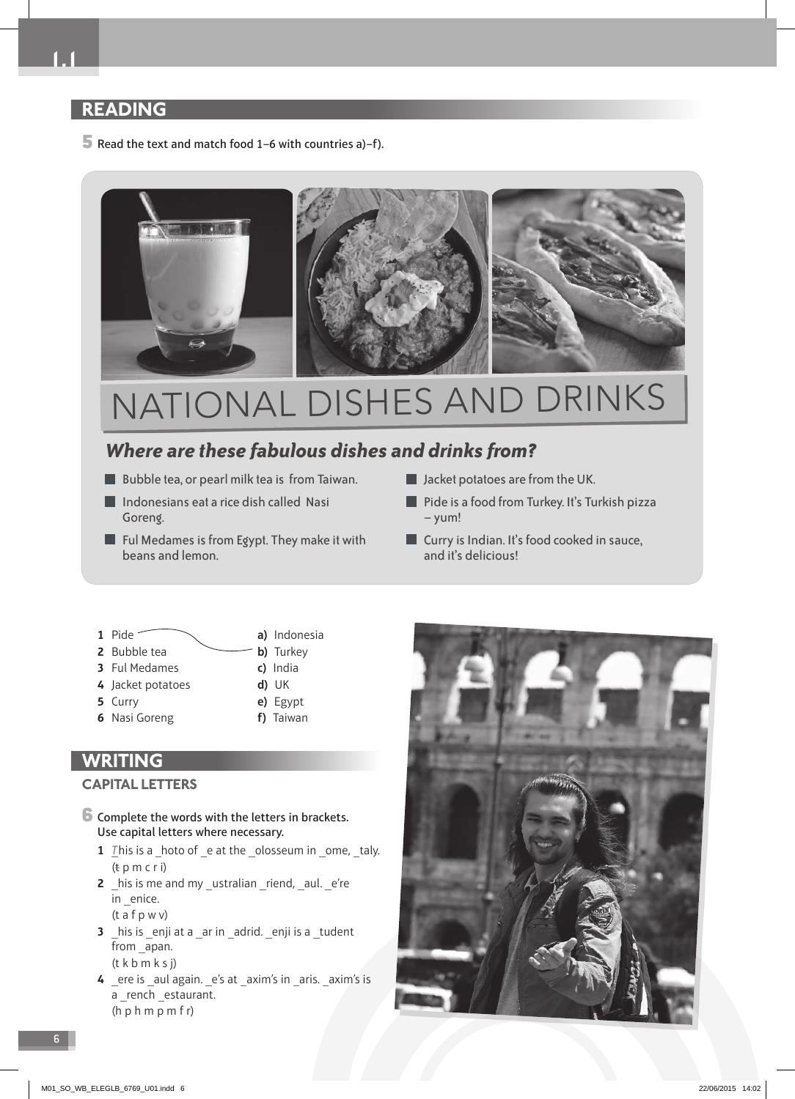# **READING**

 $\overline{5}$  Read the text and match food 1–6 with countries a)–f).



# NATIONAL DISHES AND DRINKS

# *Where are these fabulous dishes and drinks from?*

- Bubble tea, or pearl milk tea is from Taiwan.
- Indonesians eat a rice dish called Nasi Goreng.
- $\blacksquare$  Ful Medames is from Egypt. They make it with beans and lemon.
- **Jacket potatoes are from the UK.**
- **Pide is a food from Turkey. It's Turkish pizza** – yum!
- **Curry is Indian. It's food cooked in sauce,** and it's delicious!
- **1** Pide **a)** Indonesia **2** Bubble tea **b**) Turkey
- **3** Ful Medames **c)** India
- **4** Jacket potatoes **d)** UK
- **5** Curry **e)** Egypt
- **6** Nasi Goreng **f)** Taiwan
- 
- -

# **WRITING**

#### **CAPITAL LETTERS**

- 6 Complete the words with the letters in brackets. Use capital letters where necessary.
	- **1** This is a hoto of e at the olosseum in ome, taly.  $(t p m c r)$
	- **2** his is me and my \_ustralian \_riend, \_aul. \_e're in enice.
		- (t a f p w v)
	- **3** his is enji at a ar in adrid. enji is a tudent from apan. (t k b m k s j)
	- 4 ere is \_aul again. \_e's at \_axim's in \_aris. \_axim's is a \_rench \_estaurant. (h p h m p m f r)

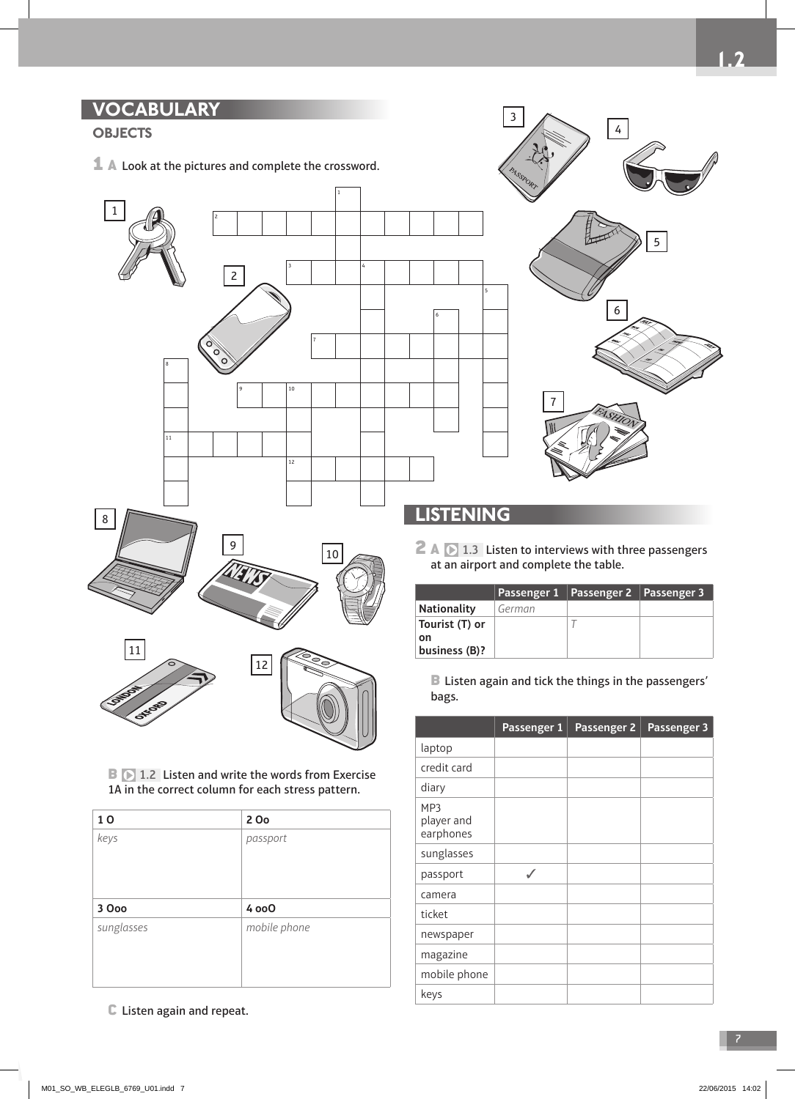# **VOCABULARY**

# **OBJECTS**

 $\mathbf{\mathbf{\perp}}$  A Look at the pictures and complete the crossword.





# **LISTENING**

5

2 A  $\triangleright$  1.3 Listen to interviews with three passengers at an airport and complete the table.

|                     |        | Passenger 1   Passenger 2   Passenger 3 |  |
|---------------------|--------|-----------------------------------------|--|
| <b>Nationality</b>  | German |                                         |  |
| Tourist (T) or      |        |                                         |  |
| on<br>business (B)? |        |                                         |  |

B Listen again and tick the things in the passengers' bags.

|                                | Passenger 1 | Passenger 2 | Passenger 3 |
|--------------------------------|-------------|-------------|-------------|
| laptop                         |             |             |             |
| credit card                    |             |             |             |
| diary                          |             |             |             |
| MP3<br>player and<br>earphones |             |             |             |
| sunglasses                     |             |             |             |
| passport                       | ✓           |             |             |
| camera                         |             |             |             |
| ticket                         |             |             |             |
| newspaper                      |             |             |             |
| magazine                       |             |             |             |
| mobile phone                   |             |             |             |
| keys                           |             |             |             |

**B 1.2** Listen and write the words from Exercise 1A in the correct column for each stress pattern.

| 10         | 2 Oo         |
|------------|--------------|
| keys       | passport     |
|            |              |
|            |              |
|            |              |
|            |              |
| 3 Ooo      | 4 000        |
| sunglasses | mobile phone |
|            |              |
|            |              |

C Listen again and repeat.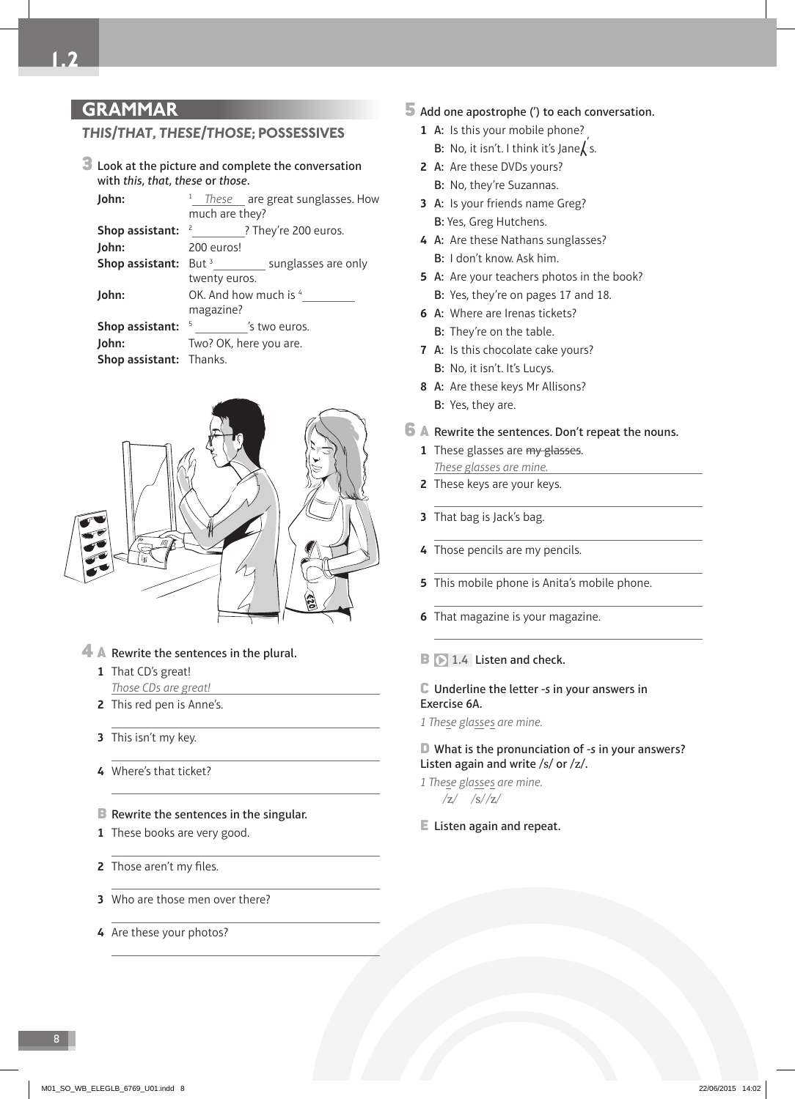# **GRAMMAR**

#### *THIS* **/** *THAT* **,** *THESE* **/** *THOSE* **; POSSESSIVES**

**3** Look at the picture and complete the conversation with this, that, these or those.

| John:                   | <sup>1</sup> These are great sunglasses. How       |  |  |
|-------------------------|----------------------------------------------------|--|--|
|                         | much are they?                                     |  |  |
| Shop assistant:         | $\frac{2}{\sqrt{2}}$<br>? They're 200 euros.       |  |  |
| John:                   | 200 euros!                                         |  |  |
|                         | <b>Shop assistant:</b> But $3$ sunglasses are only |  |  |
|                         | twenty euros.                                      |  |  |
| John:                   | OK. And how much is 4                              |  |  |
|                         | magazine?                                          |  |  |
| Shop assistant:         | 5<br>'s two euros.                                 |  |  |
| John:                   | Two? OK, here you are.                             |  |  |
| Shop assistant: Thanks. |                                                    |  |  |



#### 4 A Rewrite the sentences in the plural.

- **1** That CD's great! Those CDs are great!
- **2** This red pen is Anne's.
- **3** This isn't my key.
- **4** Where's that ticket?
- **B** Rewrite the sentences in the singular.
- **1** These books are very good.
- **2** Those aren't my files.
- **3** Who are those men over there?
- **4** Are these your photos?

#### 5 Add one apostrophe (') to each conversation.

- **1** A: Is this your mobile phone? **B:** No, it isn't. I think it's Jane $\int$ 's.
- **2** A: Are these DVDs yours? B: No, they're Suzannas.
- **3** A: Is your friends name Greg? B: Yes, Greg Hutchens.
- **4** A: Are these Nathans sunglasses?
	- B: I don't know. Ask him.
- **5** A: Are your teachers photos in the book?
	- B: Yes, they're on pages 17 and 18.
- **6** A: Where are Irenas tickets? B: They're on the table.
- **7** A: Is this chocolate cake yours? B: No, it isn't. It's Lucys.
- **8** A: Are these keys Mr Allisons? B: Yes, they are.
- 6 A Rewrite the sentences. Don't repeat the nouns.
	- **1** These glasses are my glasses. These glasses are mine.
	- **2** These keys are your keys.
	- **3** That bag is Jack's bag.
	- **4** Those pencils are my pencils.
	- **5** This mobile phone is Anita's mobile phone.
	- **6** That magazine is your magazine.
	- **B**  $\triangleright$  1.4 Listen and check.

#### C Underline the letter -s in your answers in Exercise 6A.

1 These glasses are mine.

#### D What is the pronunciation of -s in your answers? Listen again and write /s/ or /z/.

- 1 These glasses are mine.  $|z|$   $|s|/z|$
- E Listen again and repeat.